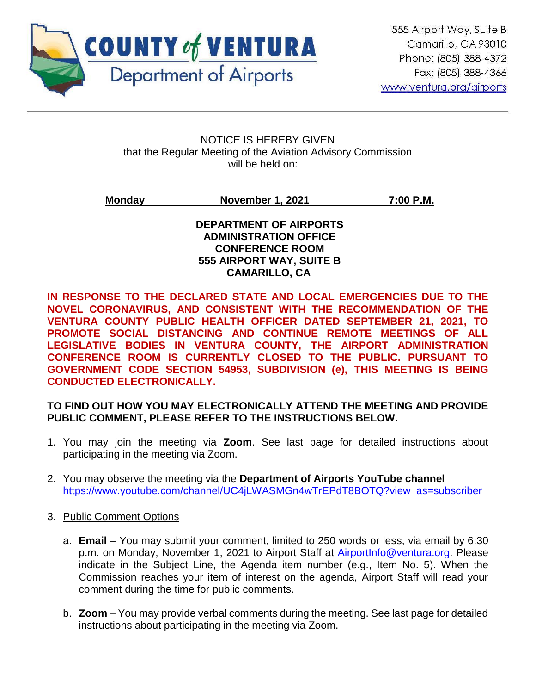

ֺ

#### NOTICE IS HEREBY GIVEN that the Regular Meeting of the Aviation Advisory Commission will be held on:

# **Monday November 1, 2021 7:00 P.M.**

#### **DEPARTMENT OF AIRPORTS ADMINISTRATION OFFICE CONFERENCE ROOM 555 AIRPORT WAY, SUITE B CAMARILLO, CA**

**IN RESPONSE TO THE DECLARED STATE AND LOCAL EMERGENCIES DUE TO THE NOVEL CORONAVIRUS, AND CONSISTENT WITH THE RECOMMENDATION OF THE VENTURA COUNTY PUBLIC HEALTH OFFICER DATED SEPTEMBER 21, 2021, TO PROMOTE SOCIAL DISTANCING AND CONTINUE REMOTE MEETINGS OF ALL LEGISLATIVE BODIES IN VENTURA COUNTY, THE AIRPORT ADMINISTRATION CONFERENCE ROOM IS CURRENTLY CLOSED TO THE PUBLIC. PURSUANT TO GOVERNMENT CODE SECTION 54953, SUBDIVISION (e), THIS MEETING IS BEING CONDUCTED ELECTRONICALLY.** 

# **TO FIND OUT HOW YOU MAY ELECTRONICALLY ATTEND THE MEETING AND PROVIDE PUBLIC COMMENT, PLEASE REFER TO THE INSTRUCTIONS BELOW.**

- 1. You may join the meeting via **Zoom**. See last page for detailed instructions about participating in the meeting via Zoom.
- 2. You may observe the meeting via the **Department of Airports YouTube channel** [https://www.youtube.com/channel/UC4jLWASMGn4wTrEPdT8BOTQ?view\\_as=subscriber](https://www.youtube.com/channel/UC4jLWASMGn4wTrEPdT8BOTQ?view_as=subscriber)
- 3. Public Comment Options
	- a. **Email** You may submit your comment, limited to 250 words or less, via email by 6:30 p.m. on Monday, November 1, 2021 to Airport Staff at [AirportInfo@ventura.org.](mailto:AirportInfo@ventura.org) Please indicate in the Subject Line, the Agenda item number (e.g., Item No. 5). When the Commission reaches your item of interest on the agenda, Airport Staff will read your comment during the time for public comments.
	- b. **Zoom** You may provide verbal comments during the meeting. See last page for detailed instructions about participating in the meeting via Zoom.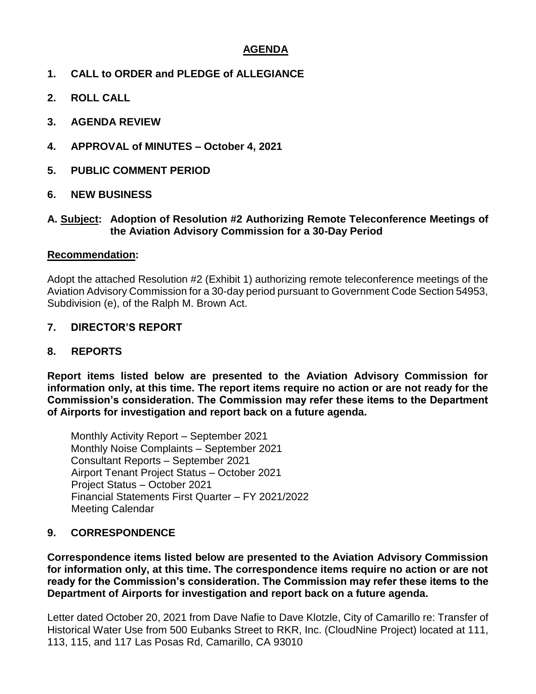# **AGENDA**

- **1. CALL to ORDER and PLEDGE of ALLEGIANCE**
- **2. ROLL CALL**
- **3. AGENDA REVIEW**
- **4. APPROVAL of MINUTES – October 4, 2021**
- **5. PUBLIC COMMENT PERIOD**
- **6. NEW BUSINESS**

#### **A. Subject: Adoption of Resolution #2 Authorizing Remote Teleconference Meetings of the Aviation Advisory Commission for a 30-Day Period**

#### **Recommendation:**

Adopt the attached Resolution #2 (Exhibit 1) authorizing remote teleconference meetings of the Aviation Advisory Commission for a 30-day period pursuant to Government Code Section 54953, Subdivision (e), of the Ralph M. Brown Act.

# **7. DIRECTOR'S REPORT**

# **8. REPORTS**

**Report items listed below are presented to the Aviation Advisory Commission for information only, at this time. The report items require no action or are not ready for the Commission's consideration. The Commission may refer these items to the Department of Airports for investigation and report back on a future agenda.** 

Monthly Activity Report – September 2021 Monthly Noise Complaints – September 2021 Consultant Reports – September 2021 Airport Tenant Project Status – October 2021 Project Status – October 2021 Financial Statements First Quarter – FY 2021/2022 Meeting Calendar

# **9. CORRESPONDENCE**

**Correspondence items listed below are presented to the Aviation Advisory Commission for information only, at this time. The correspondence items require no action or are not ready for the Commission's consideration. The Commission may refer these items to the Department of Airports for investigation and report back on a future agenda.** 

Letter dated October 20, 2021 from Dave Nafie to Dave Klotzle, City of Camarillo re: Transfer of Historical Water Use from 500 Eubanks Street to RKR, Inc. (CloudNine Project) located at 111, 113, 115, and 117 Las Posas Rd, Camarillo, CA 93010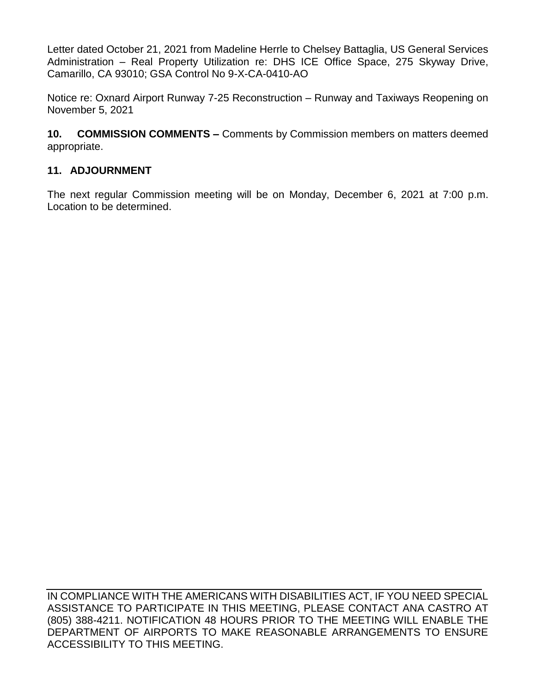Letter dated October 21, 2021 from Madeline Herrle to Chelsey Battaglia, US General Services Administration – Real Property Utilization re: DHS ICE Office Space, 275 Skyway Drive, Camarillo, CA 93010; GSA Control No 9-X-CA-0410-AO

Notice re: Oxnard Airport Runway 7-25 Reconstruction – Runway and Taxiways Reopening on November 5, 2021

**10. COMMISSION COMMENTS –** Comments by Commission members on matters deemed appropriate.

# **11. ADJOURNMENT**

The next regular Commission meeting will be on Monday, December 6, 2021 at 7:00 p.m. Location to be determined.

IN COMPLIANCE WITH THE AMERICANS WITH DISABILITIES ACT, IF YOU NEED SPECIAL ASSISTANCE TO PARTICIPATE IN THIS MEETING, PLEASE CONTACT ANA CASTRO AT (805) 388-4211. NOTIFICATION 48 HOURS PRIOR TO THE MEETING WILL ENABLE THE DEPARTMENT OF AIRPORTS TO MAKE REASONABLE ARRANGEMENTS TO ENSURE ACCESSIBILITY TO THIS MEETING.